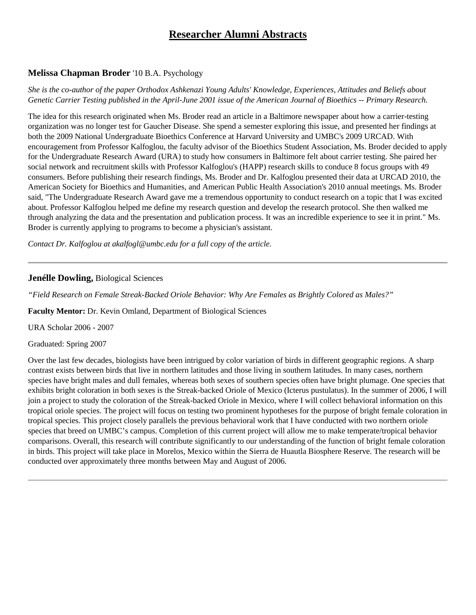# **Researcher Alumni Abstracts**

## **Melissa Chapman Broder** '10 B.A. Psychology

### *She is the co-author of the paper Orthodox Ashkenazi Young Adults' Knowledge, Experiences, Attitudes and Beliefs about Genetic Carrier Testing published in the April-June 2001 issue of the American Journal of Bioethics -- Primary Research.*

The idea for this research originated when Ms. Broder read an article in a Baltimore newspaper about how a carrier-testing organization was no longer test for Gaucher Disease. She spend a semester exploring this issue, and presented her findings at both the 2009 National Undergraduate Bioethics Conference at Harvard University and UMBC's 2009 URCAD. With encouragement from Professor Kalfoglou, the faculty advisor of the Bioethics Student Association, Ms. Broder decided to apply for the Undergraduate Research Award (URA) to study how consumers in Baltimore felt about carrier testing. She paired her social network and recruitment skills with Professor Kalfoglou's (HAPP) research skills to conduce 8 focus groups with 49 consumers. Before publishing their research findings, Ms. Broder and Dr. Kalfoglou presented their data at URCAD 2010, the American Society for Bioethics and Humanities, and American Public Health Association's 2010 annual meetings. Ms. Broder said, "The Undergraduate Research Award gave me a tremendous opportunity to conduct research on a topic that I was excited about. Professor Kalfoglou helped me define my research question and develop the research protocol. She then walked me through analyzing the data and the presentation and publication process. It was an incredible experience to see it in print." Ms. Broder is currently applying to programs to become a physician's assistant.

*Contact Dr. Kalfoglou at akalfogl@umbc.edu for a full copy of the article.*

### **Jenélle Dowling,** Biological Sciences

*"Field Research on Female Streak-Backed Oriole Behavior: Why Are Females as Brightly Colored as Males?"*

**Faculty Mentor:** Dr. Kevin Omland, Department of Biological Sciences

URA Scholar 2006 - 2007

Graduated: Spring 2007

Over the last few decades, biologists have been intrigued by color variation of birds in different geographic regions. A sharp contrast exists between birds that live in northern latitudes and those living in southern latitudes. In many cases, northern species have bright males and dull females, whereas both sexes of southern species often have bright plumage. One species that exhibits bright coloration in both sexes is the Streak-backed Oriole of Mexico (Icterus pustulatus). In the summer of 2006, I will join a project to study the coloration of the Streak-backed Oriole in Mexico, where I will collect behavioral information on this tropical oriole species. The project will focus on testing two prominent hypotheses for the purpose of bright female coloration in tropical species. This project closely parallels the previous behavioral work that I have conducted with two northern oriole species that breed on UMBC's campus. Completion of this current project will allow me to make temperate/tropical behavior comparisons. Overall, this research will contribute significantly to our understanding of the function of bright female coloration in birds. This project will take place in Morelos, Mexico within the Sierra de Huautla Biosphere Reserve. The research will be conducted over approximately three months between May and August of 2006.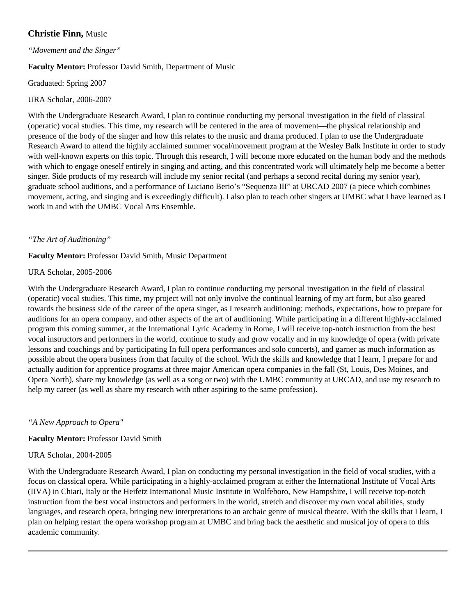# **Christie Finn,** Music

#### *"Movement and the Singer"*

### **Faculty Mentor:** Professor David Smith, Department of Music

### Graduated: Spring 2007

### URA Scholar, 2006-2007

With the Undergraduate Research Award, I plan to continue conducting my personal investigation in the field of classical (operatic) vocal studies. This time, my research will be centered in the area of movement—the physical relationship and presence of the body of the singer and how this relates to the music and drama produced. I plan to use the Undergraduate Research Award to attend the highly acclaimed summer vocal/movement program at the Wesley Balk Institute in order to study with well-known experts on this topic. Through this research, I will become more educated on the human body and the methods with which to engage oneself entirely in singing and acting, and this concentrated work will ultimately help me become a better singer. Side products of my research will include my senior recital (and perhaps a second recital during my senior year), graduate school auditions, and a performance of Luciano Berio's "Sequenza III" at URCAD 2007 (a piece which combines movement, acting, and singing and is exceedingly difficult). I also plan to teach other singers at UMBC what I have learned as I work in and with the UMBC Vocal Arts Ensemble.

### *"The Art of Auditioning"*

#### **Faculty Mentor:** Professor David Smith, Music Department

#### URA Scholar, 2005-2006

With the Undergraduate Research Award, I plan to continue conducting my personal investigation in the field of classical (operatic) vocal studies. This time, my project will not only involve the continual learning of my art form, but also geared towards the business side of the career of the opera singer, as I research auditioning: methods, expectations, how to prepare for auditions for an opera company, and other aspects of the art of auditioning. While participating in a different highly-acclaimed program this coming summer, at the International Lyric Academy in Rome, I will receive top-notch instruction from the best vocal instructors and performers in the world, continue to study and grow vocally and in my knowledge of opera (with private lessons and coachings and by participating In full opera performances and solo concerts), and garner as much information as possible about the opera business from that faculty of the school. With the skills and knowledge that I learn, I prepare for and actually audition for apprentice programs at three major American opera companies in the fall (St, Louis, Des Moines, and Opera North), share my knowledge (as well as a song or two) with the UMBC community at URCAD, and use my research to help my career (as well as share my research with other aspiring to the same profession).

### *"A New Approach to Opera"*

### **Faculty Mentor:** Professor David Smith

#### URA Scholar, 2004-2005

With the Undergraduate Research Award, I plan on conducting my personal investigation in the field of vocal studies, with a focus on classical opera. While participating in a highly-acclaimed program at either the International Institute of Vocal Arts (IIVA) in Chiari, Italy or the Heifetz International Music Institute in Wolfeboro, New Hampshire, I will receive top-notch instruction from the best vocal instructors and performers in the world, stretch and discover my own vocal abilities, study languages, and research opera, bringing new interpretations to an archaic genre of musical theatre. With the skills that I learn, I plan on helping restart the opera workshop program at UMBC and bring back the aesthetic and musical joy of opera to this academic community.